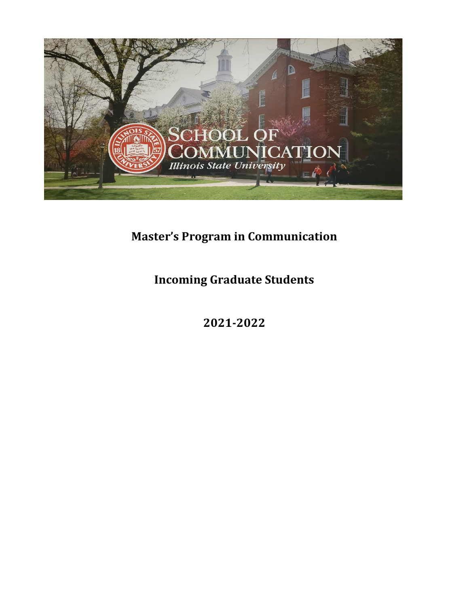

## **Master's Program in Communication**

**Incoming Graduate Students**

**2021-2022**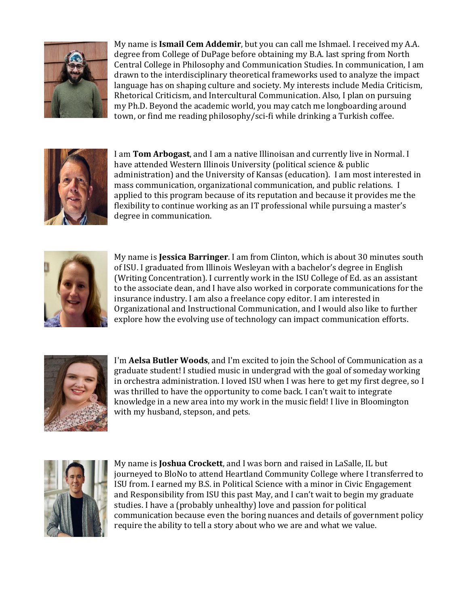

My name is **Ismail Cem Addemir**, but you can call me Ishmael. I received my A.A. degree from College of DuPage before obtaining my B.A. last spring from North Central College in Philosophy and Communication Studies. In communication, I am drawn to the interdisciplinary theoretical frameworks used to analyze the impact language has on shaping culture and society. My interests include Media Criticism, Rhetorical Criticism, and Intercultural Communication. Also, I plan on pursuing my Ph.D. Beyond the academic world, you may catch me longboarding around town, or find me reading philosophy/sci-fi while drinking a Turkish coffee.



I am **Tom Arbogast**, and I am a native Illinoisan and currently live in Normal. I have attended Western Illinois University (political science & public administration) and the University of Kansas (education). I am most interested in mass communication, organizational communication, and public relations. I applied to this program because of its reputation and because it provides me the flexibility to continue working as an IT professional while pursuing a master's degree in communication.



My name is **Jessica Barringer**. I am from Clinton, which is about 30 minutes south of ISU. I graduated from Illinois Wesleyan with a bachelor's degree in English (Writing Concentration). I currently work in the ISU College of Ed. as an assistant to the associate dean, and I have also worked in corporate communications for the insurance industry. I am also a freelance copy editor. I am interested in Organizational and Instructional Communication, and I would also like to further explore how the evolving use of technology can impact communication efforts.



I'm **Aelsa Butler Woods**, and I'm excited to join the School of Communication as a graduate student! I studied music in undergrad with the goal of someday working in orchestra administration. I loved ISU when I was here to get my first degree, so I was thrilled to have the opportunity to come back. I can't wait to integrate knowledge in a new area into my work in the music field! I live in Bloomington with my husband, stepson, and pets.



My name is **Joshua Crockett**, and I was born and raised in LaSalle, IL but journeyed to BloNo to attend Heartland Community College where I transferred to ISU from. I earned my B.S. in Political Science with a minor in Civic Engagement and Responsibility from ISU this past May, and I can't wait to begin my graduate studies. I have a (probably unhealthy) love and passion for political communication because even the boring nuances and details of government policy require the ability to tell a story about who we are and what we value.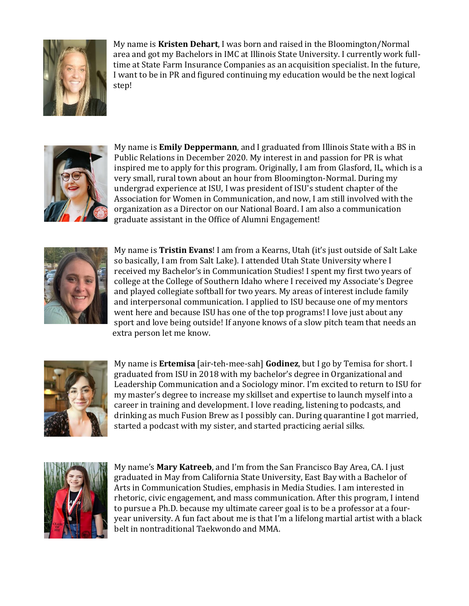

My name is **Kristen Dehart**, I was born and raised in the Bloomington/Normal area and got my Bachelors in IMC at Illinois State University. I currently work fulltime at State Farm Insurance Companies as an acquisition specialist. In the future, I want to be in PR and figured continuing my education would be the next logical step!



My name is **Emily Deppermann**, and I graduated from Illinois State with a BS in Public Relations in December 2020. My interest in and passion for PR is what inspired me to apply for this program. Originally, I am from Glasford, IL, which is a very small, rural town about an hour from Bloomington-Normal. During my undergrad experience at ISU, I was president of ISU's student chapter of the Association for Women in Communication, and now, I am still involved with the organization as a Director on our National Board. I am also a communication graduate assistant in the Office of Alumni Engagement!



My name is **Tristin Evans**! I am from a Kearns, Utah (it's just outside of Salt Lake so basically, I am from Salt Lake). I attended Utah State University where I received my Bachelor's in Communication Studies! I spent my first two years of college at the College of Southern Idaho where I received my Associate's Degree and played collegiate softball for two years. My areas of interest include family and interpersonal communication. I applied to ISU because one of my mentors went here and because ISU has one of the top programs! I love just about any sport and love being outside! If anyone knows of a slow pitch team that needs an extra person let me know.



My name is **Ertemisa** [air-teh-mee-sah] **Godinez**, but I go by Temisa for short. I graduated from ISU in 2018 with my bachelor's degree in Organizational and Leadership Communication and a Sociology minor. I'm excited to return to ISU for my master's degree to increase my skillset and expertise to launch myself into a career in training and development. I love reading, listening to podcasts, and drinking as much Fusion Brew as I possibly can. During quarantine I got married, started a podcast with my sister, and started practicing aerial silks.



My name's **Mary Katreeb**, and I'm from the San Francisco Bay Area, CA. I just graduated in May from California State University, East Bay with a Bachelor of Arts in Communication Studies, emphasis in Media Studies. I am interested in rhetoric, civic engagement, and mass communication. After this program, I intend to pursue a Ph.D. because my ultimate career goal is to be a professor at a fouryear university. A fun fact about me is that I'm a lifelong martial artist with a black belt in nontraditional Taekwondo and MMA.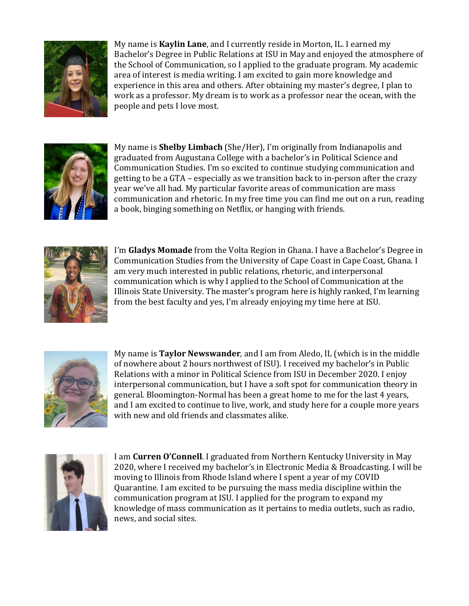

My name is **Kaylin Lane**, and I currently reside in Morton, IL. I earned my Bachelor's Degree in Public Relations at ISU in May and enjoyed the atmosphere of the School of Communication, so I applied to the graduate program. My academic area of interest is media writing. I am excited to gain more knowledge and experience in this area and others. After obtaining my master's degree, I plan to work as a professor. My dream is to work as a professor near the ocean, with the people and pets I love most.



My name is **Shelby Limbach** (She/Her), I'm originally from Indianapolis and graduated from Augustana College with a bachelor's in Political Science and Communication Studies. I'm so excited to continue studying communication and getting to be a GTA – especially as we transition back to in-person after the crazy year we've all had. My particular favorite areas of communication are mass communication and rhetoric. In my free time you can find me out on a run, reading a book, binging something on Netflix, or hanging with friends.



I'm **Gladys Momade** from the Volta Region in Ghana. I have a Bachelor's Degree in Communication Studies from the University of Cape Coast in Cape Coast, Ghana. I am very much interested in public relations, rhetoric, and interpersonal communication which is why I applied to the School of Communication at the Illinois State University. The master's program here is highly ranked, I'm learning from the best faculty and yes, I'm already enjoying my time here at ISU.



My name is **Taylor Newswander**, and I am from Aledo, IL (which is in the middle of nowhere about 2 hours northwest of ISU). I received my bachelor's in Public Relations with a minor in Political Science from ISU in December 2020. I enjoy interpersonal communication, but I have a soft spot for communication theory in general. Bloomington-Normal has been a great home to me for the last 4 years, and I am excited to continue to live, work, and study here for a couple more years with new and old friends and classmates alike.



I am **Curren O'Connell**. I graduated from Northern Kentucky University in May 2020, where I received my bachelor's in Electronic Media & Broadcasting. I will be moving to Illinois from Rhode Island where I spent a year of my COVID Quarantine. I am excited to be pursuing the mass media discipline within the communication program at ISU. I applied for the program to expand my knowledge of mass communication as it pertains to media outlets, such as radio, news, and social sites.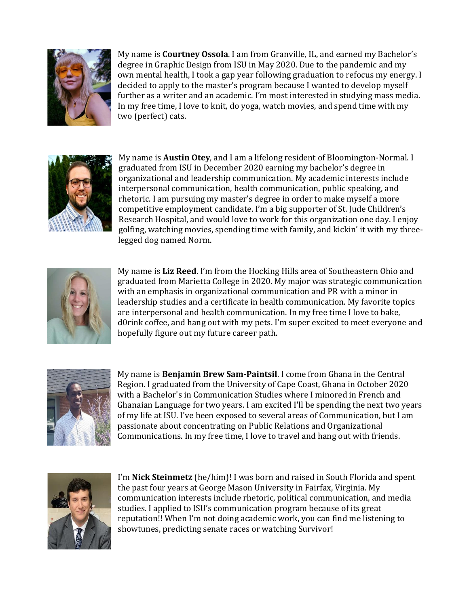

My name is **Courtney Ossola**. I am from Granville, IL, and earned my Bachelor's degree in Graphic Design from ISU in May 2020. Due to the pandemic and my own mental health, I took a gap year following graduation to refocus my energy. I decided to apply to the master's program because I wanted to develop myself further as a writer and an academic. I'm most interested in studying mass media. In my free time, I love to knit, do yoga, watch movies, and spend time with my two (perfect) cats.



My name is **Austin Otey**, and I am a lifelong resident of Bloomington-Normal. I graduated from ISU in December 2020 earning my bachelor's degree in organizational and leadership communication. My academic interests include interpersonal communication, health communication, public speaking, and rhetoric. I am pursuing my master's degree in order to make myself a more competitive employment candidate. I'm a big supporter of St. Jude Children's Research Hospital, and would love to work for this organization one day. I enjoy golfing, watching movies, spending time with family, and kickin' it with my three legged dog named Norm.



My name is **Liz Reed**. I'm from the Hocking Hills area of Southeastern Ohio and graduated from Marietta College in 2020. My major was strategic communication with an emphasis in organizational communication and PR with a minor in leadership studies and a certificate in health communication. My favorite topics are interpersonal and health communication. In my free time I love to bake, d0rink coffee, and hang out with my pets. I'm super excited to meet everyone and hopefully figure out my future career path.



My name is **Benjamin Brew Sam-Paintsil**. I come from Ghana in the Central Region. I graduated from the University of Cape Coast, Ghana in October 2020 with a Bachelor's in Communication Studies where I minored in French and Ghanaian Language for two years. I am excited I'll be spending the next two years of my life at ISU. I've been exposed to several areas of Communication, but I am passionate about concentrating on Public Relations and Organizational Communications. In my free time, I love to travel and hang out with friends.



I'm **Nick Steinmetz** (he/him)! I was born and raised in South Florida and spent the past four years at George Mason University in Fairfax, Virginia. My communication interests include rhetoric, political communication, and media studies. I applied to ISU's communication program because of its great reputation!! When I'm not doing academic work, you can find me listening to showtunes, predicting senate races or watching Survivor!